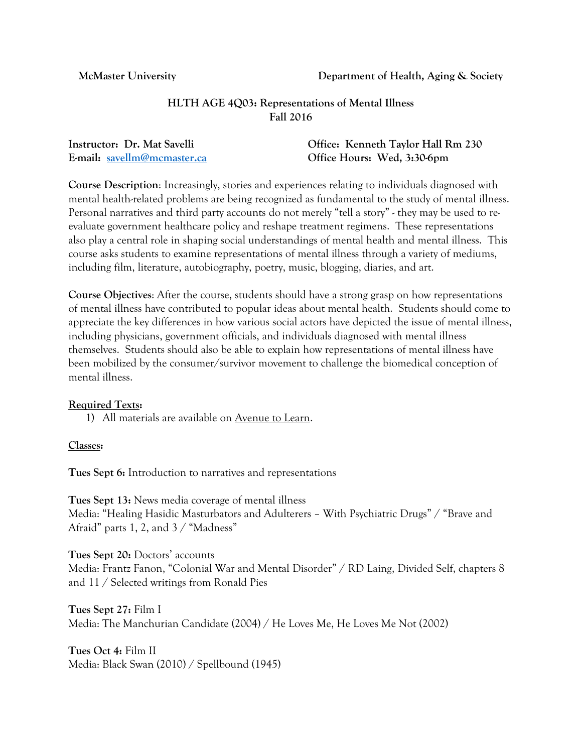**McMaster University Department of Health, Aging & Society**

# **HLTH AGE 4Q03: Representations of Mental Illness Fall 2016**

| Instructor: Dr. Mat Savelli | Office: Kenneth Taylor Hall Rm 230 |
|-----------------------------|------------------------------------|
| E-mail: savellm@mcmaster.ca | Office Hours: Wed, 3:30-6pm        |

**Course Description**: Increasingly, stories and experiences relating to individuals diagnosed with mental health-related problems are being recognized as fundamental to the study of mental illness. Personal narratives and third party accounts do not merely "tell a story" - they may be used to reevaluate government healthcare policy and reshape treatment regimens. These representations also play a central role in shaping social understandings of mental health and mental illness. This course asks students to examine representations of mental illness through a variety of mediums, including film, literature, autobiography, poetry, music, blogging, diaries, and art.

**Course Objectives**: After the course, students should have a strong grasp on how representations of mental illness have contributed to popular ideas about mental health. Students should come to appreciate the key differences in how various social actors have depicted the issue of mental illness, including physicians, government officials, and individuals diagnosed with mental illness themselves. Students should also be able to explain how representations of mental illness have been mobilized by the consumer/survivor movement to challenge the biomedical conception of mental illness.

# **Required Texts:**

1) All materials are available on Avenue to Learn.

### **Classes:**

**Tues Sept 6:** Introduction to narratives and representations

**Tues Sept 13:** News media coverage of mental illness Media: "Healing Hasidic Masturbators and Adulterers – With Psychiatric Drugs" / "Brave and Afraid" parts 1, 2, and 3 / "Madness"

**Tues Sept 20:** Doctors' accounts Media: Frantz Fanon, "Colonial War and Mental Disorder" / RD Laing, Divided Self, chapters 8 and 11 / Selected writings from Ronald Pies

**Tues Sept 27:** Film I Media: The Manchurian Candidate (2004) / He Loves Me, He Loves Me Not (2002)

**Tues Oct 4:** Film II Media: Black Swan (2010) / Spellbound (1945)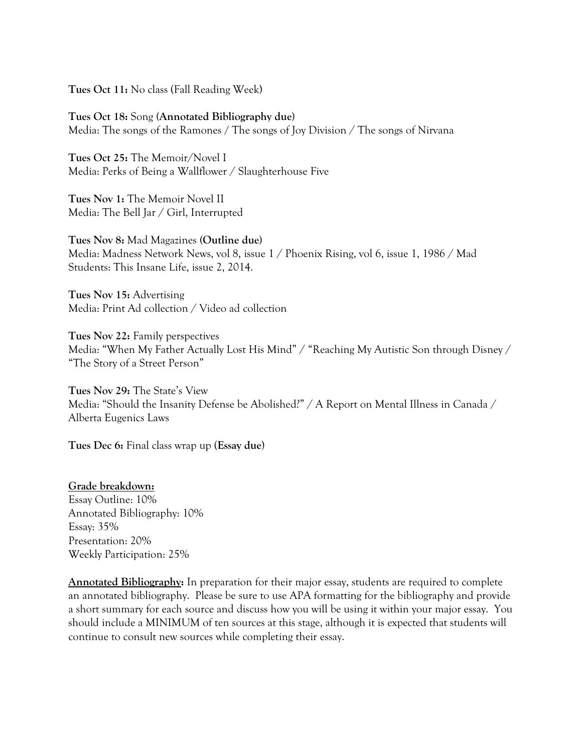**Tues Oct 11:** No class (Fall Reading Week)

**Tues Oct 18:** Song **(Annotated Bibliography due)** Media: The songs of the Ramones **/** The songs of Joy Division / The songs of Nirvana

**Tues Oct 25:** The Memoir/Novel I Media: Perks of Being a Wallflower / Slaughterhouse Five

**Tues Nov 1:** The Memoir Novel II Media: The Bell Jar / Girl, Interrupted

**Tues Nov 8:** Mad Magazines **(Outline due)** Media: Madness Network News, vol 8, issue 1 / Phoenix Rising, vol 6, issue 1, 1986 / Mad Students: This Insane Life, issue 2, 2014.

**Tues Nov 15:** Advertising Media: Print Ad collection / Video ad collection

**Tues Nov 22:** Family perspectives Media: "When My Father Actually Lost His Mind" / "Reaching My Autistic Son through Disney / "The Story of a Street Person"

**Tues Nov 29:** The State's View Media: "Should the Insanity Defense be Abolished?" / A Report on Mental Illness in Canada / Alberta Eugenics Laws

**Tues Dec 6:** Final class wrap up (**Essay due**)

### **Grade breakdown:**

Essay Outline: 10% Annotated Bibliography: 10% Essay: 35% Presentation: 20% Weekly Participation: 25%

**Annotated Bibliography:** In preparation for their major essay, students are required to complete an annotated bibliography. Please be sure to use APA formatting for the bibliography and provide a short summary for each source and discuss how you will be using it within your major essay. You should include a MINIMUM of ten sources at this stage, although it is expected that students will continue to consult new sources while completing their essay.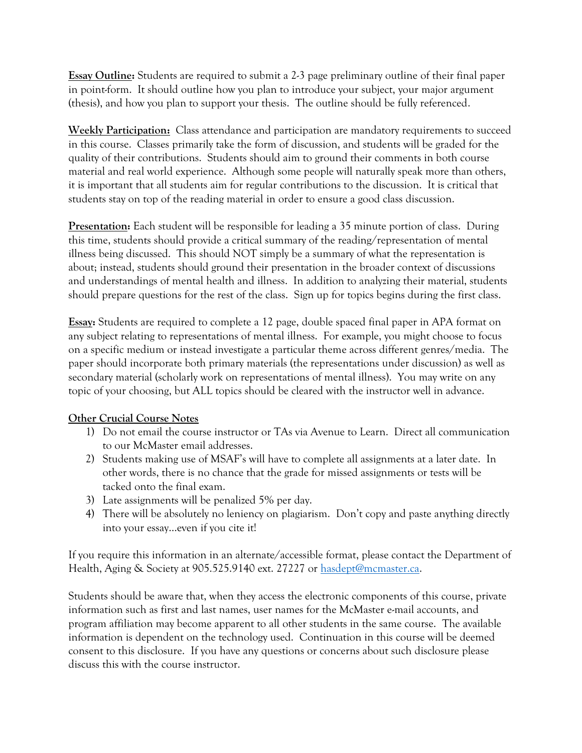**Essay Outline:** Students are required to submit a 2-3 page preliminary outline of their final paper in point-form. It should outline how you plan to introduce your subject, your major argument (thesis), and how you plan to support your thesis. The outline should be fully referenced.

**Weekly Participation:** Class attendance and participation are mandatory requirements to succeed in this course. Classes primarily take the form of discussion, and students will be graded for the quality of their contributions. Students should aim to ground their comments in both course material and real world experience. Although some people will naturally speak more than others, it is important that all students aim for regular contributions to the discussion. It is critical that students stay on top of the reading material in order to ensure a good class discussion.

**Presentation:** Each student will be responsible for leading a 35 minute portion of class. During this time, students should provide a critical summary of the reading/representation of mental illness being discussed. This should NOT simply be a summary of what the representation is about; instead, students should ground their presentation in the broader context of discussions and understandings of mental health and illness. In addition to analyzing their material, students should prepare questions for the rest of the class. Sign up for topics begins during the first class.

**Essay:** Students are required to complete a 12 page, double spaced final paper in APA format on any subject relating to representations of mental illness. For example, you might choose to focus on a specific medium or instead investigate a particular theme across different genres/media. The paper should incorporate both primary materials (the representations under discussion) as well as secondary material (scholarly work on representations of mental illness). You may write on any topic of your choosing, but ALL topics should be cleared with the instructor well in advance.

# **Other Crucial Course Notes**

- 1) Do not email the course instructor or TAs via Avenue to Learn. Direct all communication to our McMaster email addresses.
- 2) Students making use of MSAF's will have to complete all assignments at a later date. In other words, there is no chance that the grade for missed assignments or tests will be tacked onto the final exam.
- 3) Late assignments will be penalized 5% per day.
- 4) There will be absolutely no leniency on plagiarism. Don't copy and paste anything directly into your essay…even if you cite it!

If you require this information in an alternate/accessible format, please contact the Department of Health, Aging & Society at 905.525.9140 ext. 27227 or [hasdept@mcmaster.ca.](mailto:hasdept@mcmaster.ca)

Students should be aware that, when they access the electronic components of this course, private information such as first and last names, user names for the McMaster e-mail accounts, and program affiliation may become apparent to all other students in the same course. The available information is dependent on the technology used. Continuation in this course will be deemed consent to this disclosure. If you have any questions or concerns about such disclosure please discuss this with the course instructor.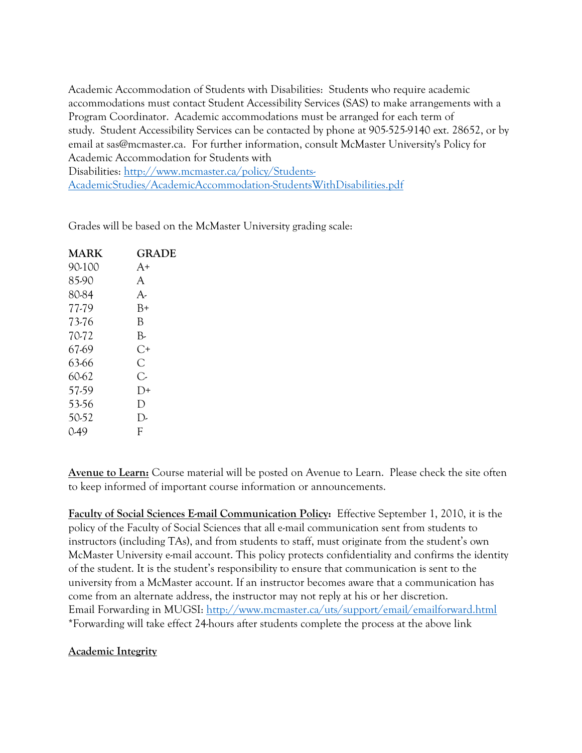Academic Accommodation of Students with Disabilities: Students who require academic accommodations must contact Student Accessibility Services (SAS) to make arrangements with a Program Coordinator. Academic accommodations must be arranged for each term of study. Student Accessibility Services can be contacted by phone at 905-525-9140 ext. 28652, or by email at sas@mcmaster.ca. For further information, consult McMaster University's Policy for Academic Accommodation for Students with

Disabilities: [http://www.mcmaster.ca/policy/Students-](https://macmail.mcmaster.ca/owa/redir.aspx?C=Ct22JPCKf0Gt9MIs-53zyuQnROJNw9IITS_MbgQ6EyhAtT2CLoWAHjEHMRL17oAWC9GefN9sIPw.&URL=http%3a%2f%2fwww.mcmaster.ca%2fpolicy%2fStudents-AcademicStudies%2fAcademicAccommodation-StudentsWithDisabilities.pdf)[AcademicStudies/AcademicAccommodation-StudentsWithDisabilities.pdf](https://macmail.mcmaster.ca/owa/redir.aspx?C=Ct22JPCKf0Gt9MIs-53zyuQnROJNw9IITS_MbgQ6EyhAtT2CLoWAHjEHMRL17oAWC9GefN9sIPw.&URL=http%3a%2f%2fwww.mcmaster.ca%2fpolicy%2fStudents-AcademicStudies%2fAcademicAccommodation-StudentsWithDisabilities.pdf)

Grades will be based on the McMaster University grading scale:

| MARK   | <b>GRADE</b> |
|--------|--------------|
| 90-100 | $A+$         |
| 85-90  | A            |
| 80-84  | $A-$         |
| 77-79  | B+           |
| 73-76  | В            |
| 70-72  | B-           |
| 67-69  | C+           |
| 63-66  | C            |
| 60-62  | C,           |
| 57.59  | D+           |
| 53-56  | D            |
| 50-52  | $\mathsf{D}$ |
| $0-49$ | F            |

**Avenue to Learn:** Course material will be posted on Avenue to Learn. Please check the site often to keep informed of important course information or announcements.

**Faculty of Social Sciences E-mail Communication Policy:** Effective September 1, 2010, it is the policy of the Faculty of Social Sciences that all e-mail communication sent from students to instructors (including TAs), and from students to staff, must originate from the student's own McMaster University e-mail account. This policy protects confidentiality and confirms the identity of the student. It is the student's responsibility to ensure that communication is sent to the university from a McMaster account. If an instructor becomes aware that a communication has come from an alternate address, the instructor may not reply at his or her discretion. Email Forwarding in MUGSI:<http://www.mcmaster.ca/uts/support/email/emailforward.html> \*Forwarding will take effect 24-hours after students complete the process at the above link

# **Academic Integrity**